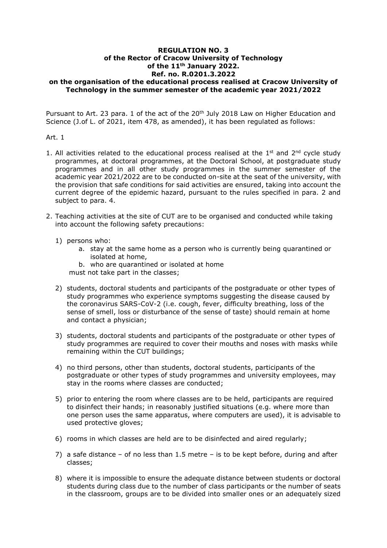## **REGULATION NO. 3 of the Rector of Cracow University of Technology of the 11th January 2022. Ref. no. R.0201.3.2022 on the organisation of the educational process realised at Cracow University of Technology in the summer semester of the academic year 2021/2022**

Pursuant to Art. 23 para. 1 of the act of the 20<sup>th</sup> July 2018 Law on Higher Education and Science (J.of L. of 2021, item 478, as amended), it has been regulated as follows:

## Art. 1

- 1. All activities related to the educational process realised at the  $1<sup>st</sup>$  and  $2<sup>nd</sup>$  cycle study programmes, at doctoral programmes, at the Doctoral School, at postgraduate study programmes and in all other study programmes in the summer semester of the academic year 2021/2022 are to be conducted on-site at the seat of the university, with the provision that safe conditions for said activities are ensured, taking into account the current degree of the epidemic hazard, pursuant to the rules specified in para. 2 and subject to para. 4.
- 2. Teaching activities at the site of CUT are to be organised and conducted while taking into account the following safety precautions:
	- 1) persons who:
		- a. stay at the same home as a person who is currently being quarantined or isolated at home,
		- b. who are quarantined or isolated at home

must not take part in the classes;

- 2) students, doctoral students and participants of the postgraduate or other types of study programmes who experience symptoms suggesting the disease caused by the coronavirus SARS-CoV-2 (i.e. cough, fever, difficulty breathing, loss of the sense of smell, loss or disturbance of the sense of taste) should remain at home and contact a physician;
- 3) students, doctoral students and participants of the postgraduate or other types of study programmes are required to cover their mouths and noses with masks while remaining within the CUT buildings;
- 4) no third persons, other than students, doctoral students, participants of the postgraduate or other types of study programmes and university employees, may stay in the rooms where classes are conducted;
- 5) prior to entering the room where classes are to be held, participants are required to disinfect their hands; in reasonably justified situations (e.g. where more than one person uses the same apparatus, where computers are used), it is advisable to used protective gloves;
- 6) rooms in which classes are held are to be disinfected and aired regularly;
- 7) a safe distance of no less than 1.5 metre is to be kept before, during and after classes;
- 8) where it is impossible to ensure the adequate distance between students or doctoral students during class due to the number of class participants or the number of seats in the classroom, groups are to be divided into smaller ones or an adequately sized